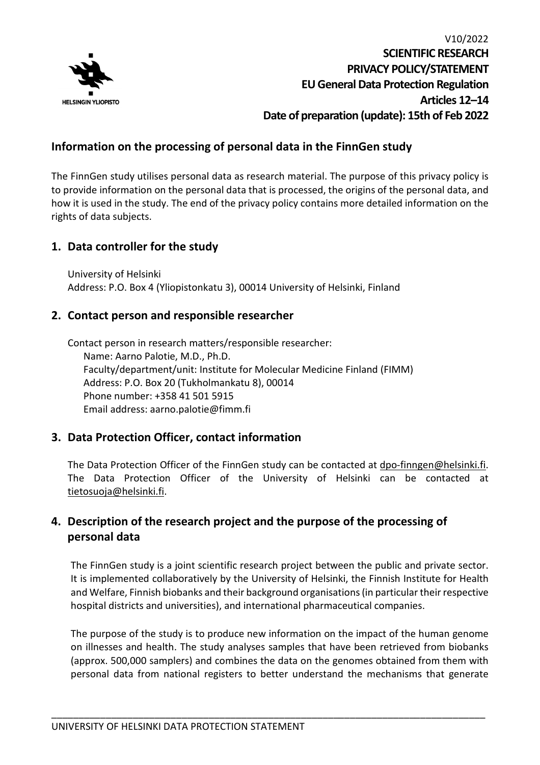

## **Information on the processing of personal data in the FinnGen study**

The FinnGen study utilises personal data as research material. The purpose of this privacy policy is to provide information on the personal data that is processed, the origins of the personal data, and how it is used in the study. The end of the privacy policy contains more detailed information on the rights of data subjects.

## **1. Data controller for the study**

University of Helsinki Address: P.O. Box 4 (Yliopistonkatu 3), 00014 University of Helsinki, Finland

## **2. Contact person and responsible researcher**

Contact person in research matters/responsible researcher: Name: Aarno Palotie, M.D., Ph.D. Faculty/department/unit: Institute for Molecular Medicine Finland (FIMM) Address: P.O. Box 20 (Tukholmankatu 8), 00014 Phone number: +358 41 501 5915 Email address: aarno.palotie@fimm.fi

## **3. Data Protection Officer, contact information**

The Data Protection Officer of the FinnGen study can be contacted at [dpo-finngen@h](mailto:grp-finngen-dpo@helsinki.fi)elsinki.fi. The Data Protection Officer of the University of Helsinki can be contacted at [tietosuoja@helsinki.fi.](mailto:tietosuoja@helsinki.fi)

## **4. Description of the research project and the purpose of the processing of personal data**

The FinnGen study is a joint scientific research project between the public and private sector. It is implemented collaboratively by the University of Helsinki, the Finnish Institute for Health and Welfare, Finnish biobanks and their background organisations (in particular their respective hospital districts and universities), and international pharmaceutical companies.

The purpose of the study is to produce new information on the impact of the human genome on illnesses and health. The study analyses samples that have been retrieved from biobanks (approx. 500,000 samplers) and combines the data on the genomes obtained from them with personal data from national registers to better understand the mechanisms that generate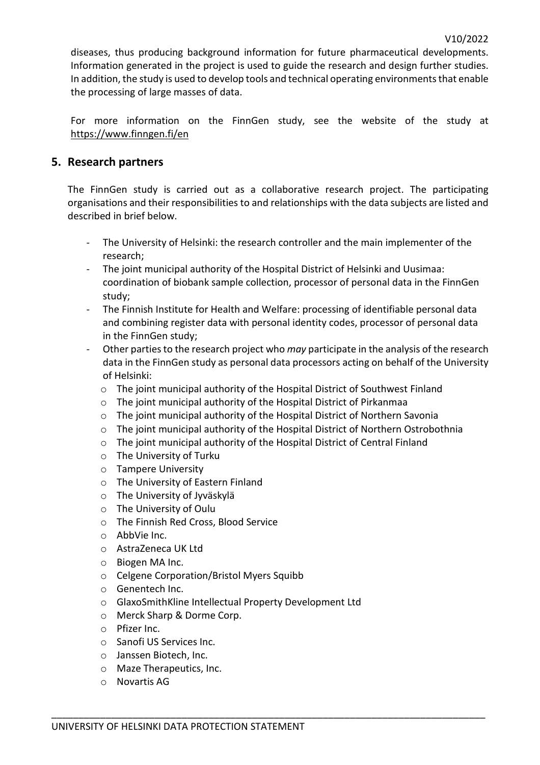diseases, thus producing background information for future pharmaceutical developments. Information generated in the project is used to guide the research and design further studies. In addition, the study is used to develop tools and technical operating environments that enable the processing of large masses of data.

For more information on the FinnGen study, see the website of the study at [https://www.finngen.fi/e](https://www.finngen.fi/en)n

## **5. Research partners**

The FinnGen study is carried out as a collaborative research project. The participating organisations and their responsibilities to and relationships with the data subjects are listed and described in brief below.

- The University of Helsinki: the research controller and the main implementer of the research;
- The joint municipal authority of the Hospital District of Helsinki and Uusimaa: coordination of biobank sample collection, processor of personal data in the FinnGen study;
- The Finnish Institute for Health and Welfare: processing of identifiable personal data and combining register data with personal identity codes, processor of personal data in the FinnGen study;
- Other parties to the research project who *may* participate in the analysis of the research data in the FinnGen study as personal data processors acting on behalf of the University of Helsinki:
	- o The joint municipal authority of the Hospital District of Southwest Finland
	- o The joint municipal authority of the Hospital District of Pirkanmaa
	- o The joint municipal authority of the Hospital District of Northern Savonia
	- o The joint municipal authority of the Hospital District of Northern Ostrobothnia
	- o The joint municipal authority of the Hospital District of Central Finland

- o The University of Turku
- o Tampere University
- o The University of Eastern Finland
- o The University of Jyväskylä
- o The University of Oulu
- o The Finnish Red Cross, Blood Service
- o AbbVie Inc.
- o AstraZeneca UK Ltd
- o Biogen MA Inc.
- o Celgene Corporation/Bristol Myers Squibb
- o Genentech Inc.
- o GlaxoSmithKline Intellectual Property Development Ltd
- o Merck Sharp & Dorme Corp.
- o Pfizer Inc.
- o Sanofi US Services Inc.
- o Janssen Biotech, Inc.
- o Maze Therapeutics, Inc.
- o Novartis AG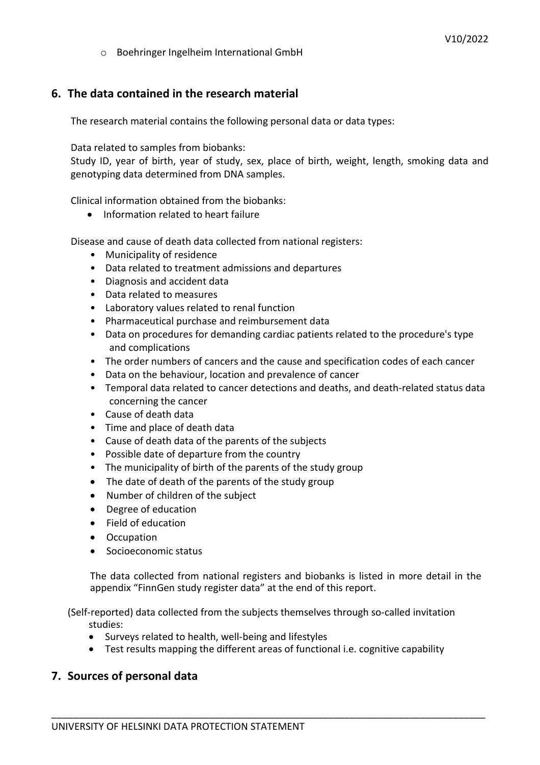o Boehringer Ingelheim International GmbH

# **6. The data contained in the research material**

The research material contains the following personal data or data types:

Data related to samples from biobanks:

Study ID, year of birth, year of study, sex, place of birth, weight, length, smoking data and genotyping data determined from DNA samples.

Clinical information obtained from the biobanks:

• Information related to heart failure

Disease and cause of death data collected from national registers:

- Municipality of residence
- Data related to treatment admissions and departures
- Diagnosis and accident data
- Data related to measures
- Laboratory values related to renal function
- Pharmaceutical purchase and reimbursement data
- Data on procedures for demanding cardiac patients related to the procedure's type and complications
- The order numbers of cancers and the cause and specification codes of each cancer
- Data on the behaviour, location and prevalence of cancer
- Temporal data related to cancer detections and deaths, and death-related status data concerning the cancer
- Cause of death data
- Time and place of death data
- Cause of death data of the parents of the subjects
- Possible date of departure from the country
- The municipality of birth of the parents of the study group
- The date of death of the parents of the study group
- Number of children of the subject
- Degree of education
- Field of education
- Occupation
- Socioeconomic status

The data collected from national registers and biobanks is listed in more detail in the appendix "FinnGen study register data" at the end of this report.

(Self-reported) data collected from the subjects themselves through so-called invitation studies:

- Surveys related to health, well-being and lifestyles
- Test results mapping the different areas of functional i.e. cognitive capability

\_\_\_\_\_\_\_\_\_\_\_\_\_\_\_\_\_\_\_\_\_\_\_\_\_\_\_\_\_\_\_\_\_\_\_\_\_\_\_\_\_\_\_\_\_\_\_\_\_\_\_\_\_\_\_\_\_\_\_\_\_\_\_\_\_\_\_\_\_\_\_\_\_\_\_\_\_\_\_\_

## **7. Sources of personal data**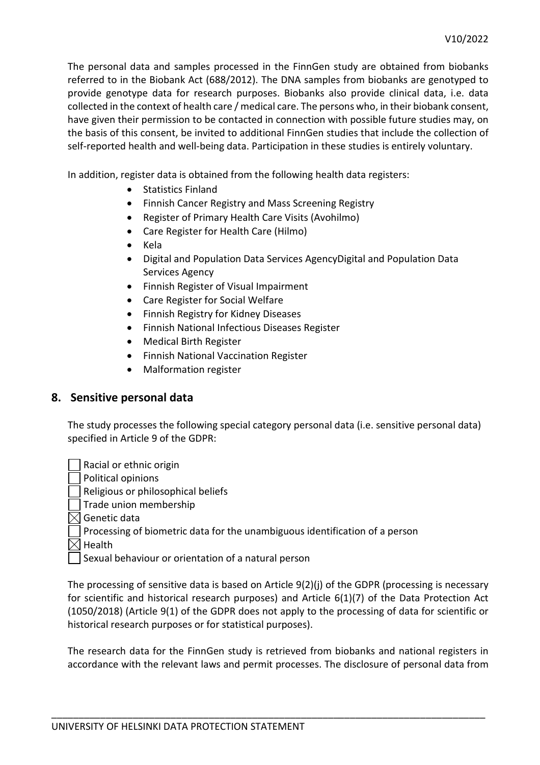The personal data and samples processed in the FinnGen study are obtained from biobanks referred to in the Biobank Act (688/2012). The DNA samples from biobanks are genotyped to provide genotype data for research purposes. Biobanks also provide clinical data, i.e. data collected in the context of health care / medical care. The persons who, in their biobank consent, have given their permission to be contacted in connection with possible future studies may, on the basis of this consent, be invited to additional FinnGen studies that include the collection of self-reported health and well-being data. Participation in these studies is entirely voluntary.

In addition, register data is obtained from the following health data registers:

- Statistics Finland
- Finnish Cancer Registry and Mass Screening Registry
- Register of Primary Health Care Visits (Avohilmo)
- Care Register for Health Care (Hilmo)
- Kela
- Digital and Population Data Services AgencyDigital and Population Data Services Agency
- Finnish Register of Visual Impairment
- Care Register for Social Welfare
- Finnish Registry for Kidney Diseases
- Finnish National Infectious Diseases Register
- Medical Birth Register
- Finnish National Vaccination Register
- Malformation register

#### **8. Sensitive personal data**

The study processes the following special category personal data (i.e. sensitive personal data) specified in Article 9 of the GDPR:

Racial or ethnic origin Political opinions Religious or philosophical beliefs Trade union membership  $\boxtimes$  Genetic data Processing of biometric data for the unambiguous identification of a person  $\boxtimes$  Health

Sexual behaviour or orientation of a natural person

The processing of sensitive data is based on Article 9(2)(j) of the GDPR (processing is necessary for scientific and historical research purposes) and Article 6(1)(7) of the Data Protection Act (1050/2018) (Article 9(1) of the GDPR does not apply to the processing of data for scientific or historical research purposes or for statistical purposes).

The research data for the FinnGen study is retrieved from biobanks and national registers in accordance with the relevant laws and permit processes. The disclosure of personal data from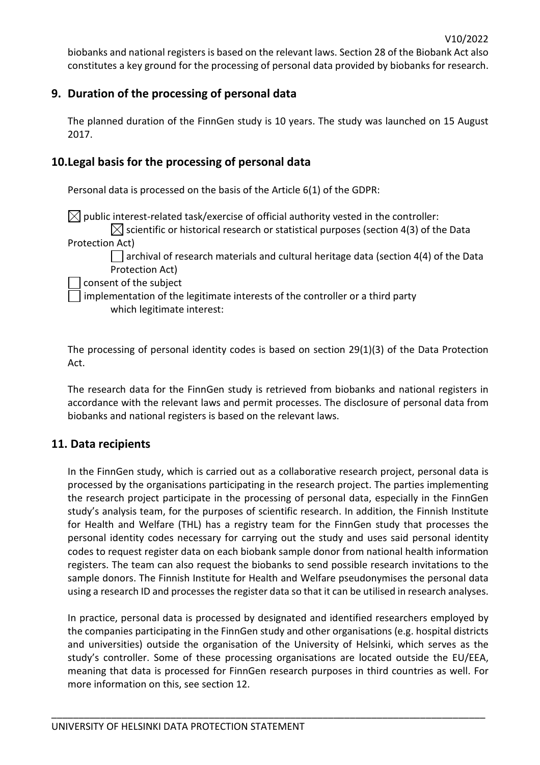biobanks and national registers is based on the relevant laws. Section 28 of the Biobank Act also constitutes a key ground for the processing of personal data provided by biobanks for research.

## **9. Duration of the processing of personal data**

The planned duration of the FinnGen study is 10 years. The study was launched on 15 August 2017.

## **10.Legal basis for the processing of personal data**

Personal data is processed on the basis of the Article 6(1) of the GDPR:

 $\boxtimes$  public interest-related task/exercise of official authority vested in the controller:  $\boxtimes$  scientific or historical research or statistical purposes (section 4(3) of the Data Protection Act)  $\Box$  archival of research materials and cultural heritage data (section 4(4) of the Data Protection Act)

consent of the subject

implementation of the legitimate interests of the controller or a third party which legitimate interest:

The processing of personal identity codes is based on section 29(1)(3) of the Data Protection Act.

The research data for the FinnGen study is retrieved from biobanks and national registers in accordance with the relevant laws and permit processes. The disclosure of personal data from biobanks and national registers is based on the relevant laws.

## **11. Data recipients**

In the FinnGen study, which is carried out as a collaborative research project, personal data is processed by the organisations participating in the research project. The parties implementing the research project participate in the processing of personal data, especially in the FinnGen study's analysis team, for the purposes of scientific research. In addition, the Finnish Institute for Health and Welfare (THL) has a registry team for the FinnGen study that processes the personal identity codes necessary for carrying out the study and uses said personal identity codes to request register data on each biobank sample donor from national health information registers. The team can also request the biobanks to send possible research invitations to the sample donors. The Finnish Institute for Health and Welfare pseudonymises the personal data using a research ID and processes the register data so that it can be utilised in research analyses.

In practice, personal data is processed by designated and identified researchers employed by the companies participating in the FinnGen study and other organisations (e.g. hospital districts and universities) outside the organisation of the University of Helsinki, which serves as the study's controller. Some of these processing organisations are located outside the EU/EEA, meaning that data is processed for FinnGen research purposes in third countries as well. For more information on this, see section 12.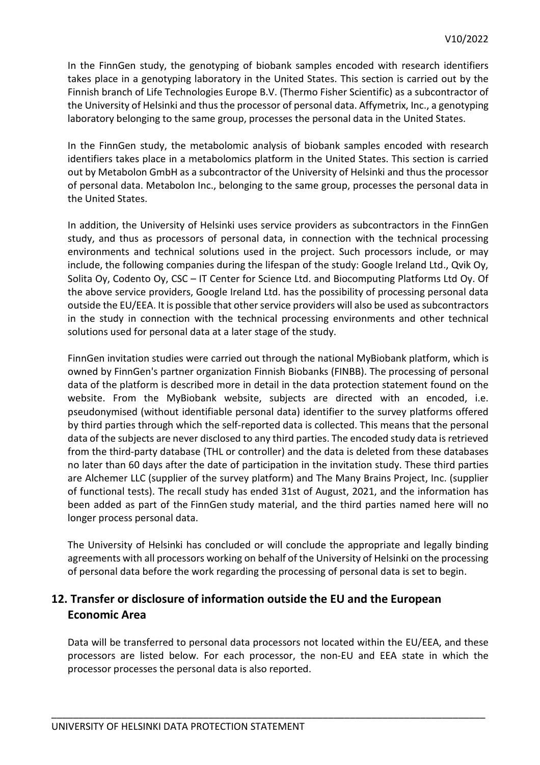In the FinnGen study, the genotyping of biobank samples encoded with research identifiers takes place in a genotyping laboratory in the United States. This section is carried out by the Finnish branch of Life Technologies Europe B.V. (Thermo Fisher Scientific) as a subcontractor of the University of Helsinki and thus the processor of personal data. Affymetrix, Inc., a genotyping laboratory belonging to the same group, processes the personal data in the United States.

In the FinnGen study, the metabolomic analysis of biobank samples encoded with research identifiers takes place in a metabolomics platform in the United States. This section is carried out by Metabolon GmbH as a subcontractor of the University of Helsinki and thus the processor of personal data. Metabolon Inc., belonging to the same group, processes the personal data in the United States.

In addition, the University of Helsinki uses service providers as subcontractors in the FinnGen study, and thus as processors of personal data, in connection with the technical processing environments and technical solutions used in the project. Such processors include, or may include, the following companies during the lifespan of the study: Google Ireland Ltd., Qvik Oy, Solita Oy, Codento Oy, CSC – IT Center for Science Ltd. and Biocomputing Platforms Ltd Oy. Of the above service providers, Google Ireland Ltd. has the possibility of processing personal data outside the EU/EEA. It is possible that other service providers will also be used as subcontractors in the study in connection with the technical processing environments and other technical solutions used for personal data at a later stage of the study.

FinnGen invitation studies were carried out through the national MyBiobank platform, which is owned by FinnGen's partner organization Finnish Biobanks (FINBB). The processing of personal data of the platform is described more in detail in the data protection statement found on the website. From the MyBiobank website, subjects are directed with an encoded, i.e. pseudonymised (without identifiable personal data) identifier to the survey platforms offered by third parties through which the self-reported data is collected. This means that the personal data of the subjects are never disclosed to any third parties. The encoded study data is retrieved from the third-party database (THL or controller) and the data is deleted from these databases no later than 60 days after the date of participation in the invitation study. These third parties are Alchemer LLC (supplier of the survey platform) and The Many Brains Project, Inc. (supplier of functional tests). The recall study has ended 31st of August, 2021, and the information has been added as part of the FinnGen study material, and the third parties named here will no longer process personal data.

The University of Helsinki has concluded or will conclude the appropriate and legally binding agreements with all processors working on behalf of the University of Helsinki on the processing of personal data before the work regarding the processing of personal data is set to begin.

## **12. Transfer or disclosure of information outside the EU and the European Economic Area**

Data will be transferred to personal data processors not located within the EU/EEA, and these processors are listed below. For each processor, the non-EU and EEA state in which the processor processes the personal data is also reported.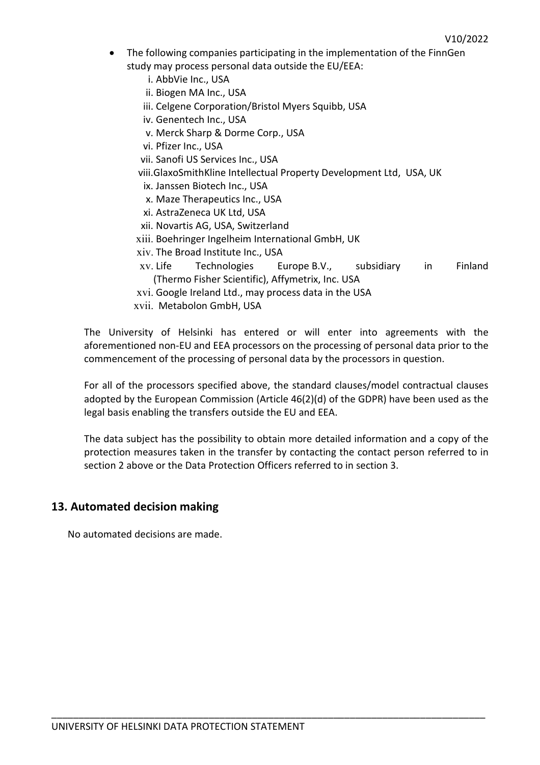- The following companies participating in the implementation of the FinnGen study may process personal data outside the EU/EEA:
	- i. AbbVie Inc., USA
	- ii. Biogen MA Inc., USA
	- iii. Celgene Corporation/Bristol Myers Squibb, USA
	- iv. Genentech Inc., USA
	- v. Merck Sharp & Dorme Corp., USA
	- vi. Pfizer Inc., USA
	- vii. Sanofi US Services Inc., USA
	- viii.GlaxoSmithKline Intellectual Property Development Ltd, USA, UK
	- ix. Janssen Biotech Inc., USA
	- x. Maze Therapeutics Inc., USA
	- xi. AstraZeneca UK Ltd, USA
	- xii. Novartis AG, USA, Switzerland
	- xiii. Boehringer Ingelheim International GmbH, UK
	- xiv. The Broad Institute Inc., USA
	- xv. Life Technologies Europe B.V., subsidiary in Finland (Thermo Fisher Scientific), Affymetrix, Inc. USA
	- xvi. Google Ireland Ltd., may process data in the USA
	- xvii. Metabolon GmbH, USA

The University of Helsinki has entered or will enter into agreements with the aforementioned non-EU and EEA processors on the processing of personal data prior to the commencement of the processing of personal data by the processors in question.

For all of the processors specified above, the standard clauses/model contractual clauses adopted by the European Commission (Article 46(2)(d) of the GDPR) have been used as the legal basis enabling the transfers outside the EU and EEA.

The data subject has the possibility to obtain more detailed information and a copy of the protection measures taken in the transfer by contacting the contact person referred to in section 2 above or the Data Protection Officers referred to in section 3.

\_\_\_\_\_\_\_\_\_\_\_\_\_\_\_\_\_\_\_\_\_\_\_\_\_\_\_\_\_\_\_\_\_\_\_\_\_\_\_\_\_\_\_\_\_\_\_\_\_\_\_\_\_\_\_\_\_\_\_\_\_\_\_\_\_\_\_\_\_\_\_\_\_\_\_\_\_\_\_\_

#### **13. Automated decision making**

No automated decisions are made.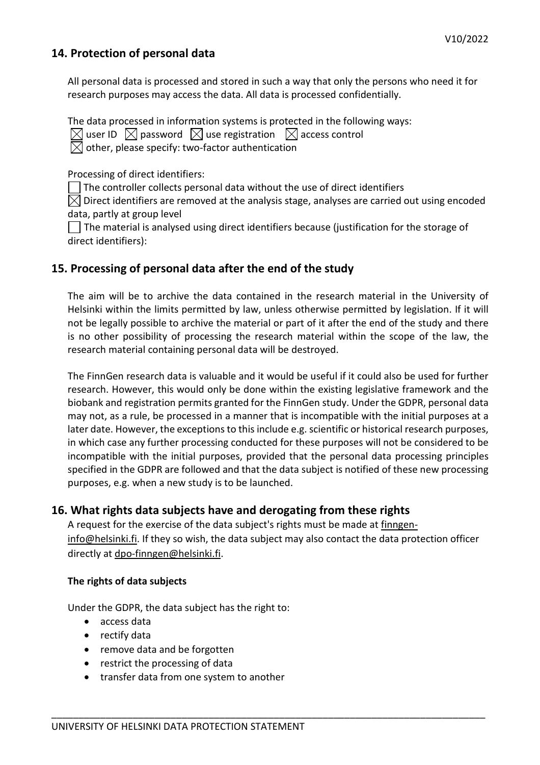## **14. Protection of personal data**

All personal data is processed and stored in such a way that only the persons who need it for research purposes may access the data. All data is processed confidentially.

The data processed in information systems is protected in the following ways:

 $\boxtimes$  user ID  $\boxtimes$  password  $\boxtimes$  use registration  $\boxtimes$  access control

 $\boxtimes$  other, please specify: two-factor authentication

Processing of direct identifiers:

The controller collects personal data without the use of direct identifiers

 $\boxtimes$  Direct identifiers are removed at the analysis stage, analyses are carried out using encoded data, partly at group level

 $\vert\ \vert$  The material is analysed using direct identifiers because (justification for the storage of direct identifiers):

## **15. Processing of personal data after the end of the study**

The aim will be to archive the data contained in the research material in the University of Helsinki within the limits permitted by law, unless otherwise permitted by legislation. If it will not be legally possible to archive the material or part of it after the end of the study and there is no other possibility of processing the research material within the scope of the law, the research material containing personal data will be destroyed.

The FinnGen research data is valuable and it would be useful if it could also be used for further research. However, this would only be done within the existing legislative framework and the biobank and registration permits granted for the FinnGen study. Under the GDPR, personal data may not, as a rule, be processed in a manner that is incompatible with the initial purposes at a later date. However, the exceptions to this include e.g. scientific or historical research purposes, in which case any further processing conducted for these purposes will not be considered to be incompatible with the initial purposes, provided that the personal data processing principles specified in the GDPR are followed and that the data subject is notified of these new processing purposes, e.g. when a new study is to be launched.

## **16. What rights data subjects have and derogating from these rights**

A request for the exercise of the data subject's rights must be made at [finngen](mailto:finngen-info@helsinki.fi)[info@helsinki.fi.](mailto:finngen-info@helsinki.fi) If they so wish, the data subject may also contact the data protection officer directly at dpo[-finngen@](mailto:grp-finngen-dpo@helsinki.fi)helsinki.fi.

\_\_\_\_\_\_\_\_\_\_\_\_\_\_\_\_\_\_\_\_\_\_\_\_\_\_\_\_\_\_\_\_\_\_\_\_\_\_\_\_\_\_\_\_\_\_\_\_\_\_\_\_\_\_\_\_\_\_\_\_\_\_\_\_\_\_\_\_\_\_\_\_\_\_\_\_\_\_\_\_

#### **The rights of data subjects**

Under the GDPR, the data subject has the right to:

- access data
- rectify data
- remove data and be forgotten
- restrict the processing of data
- transfer data from one system to another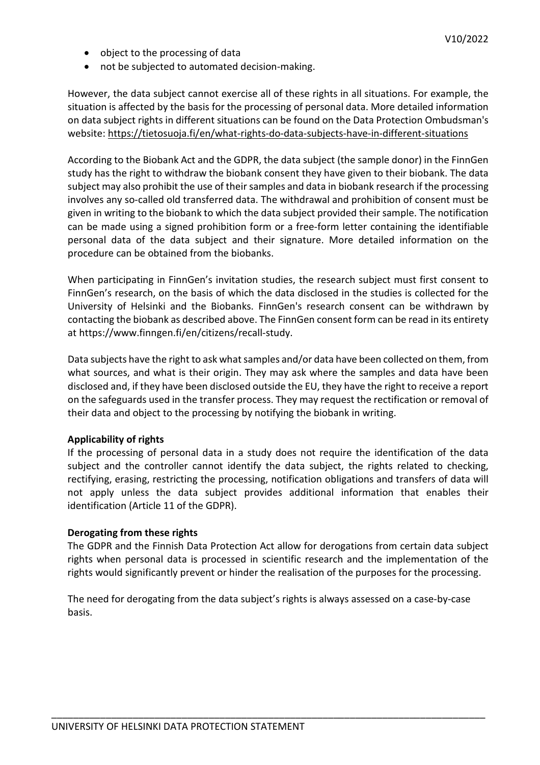- object to the processing of data
- not be subjected to automated decision-making.

However, the data subject cannot exercise all of these rights in all situations. For example, the situation is affected by the basis for the processing of personal data. More detailed information on data subject rights in different situations can be found on the Data Protection Ombudsman's website:<https://tietosuoja.fi/en/what-rights-do-data-subjects-have-in-different-situations>

According to the Biobank Act and the GDPR, the data subject (the sample donor) in the FinnGen study has the right to withdraw the biobank consent they have given to their biobank. The data subject may also prohibit the use of their samples and data in biobank research if the processing involves any so-called old transferred data. The withdrawal and prohibition of consent must be given in writing to the biobank to which the data subject provided their sample. The notification can be made using a signed prohibition form or a free-form letter containing the identifiable personal data of the data subject and their signature. More detailed information on the procedure can be obtained from the biobanks.

When participating in FinnGen's invitation studies, the research subject must first consent to FinnGen's research, on the basis of which the data disclosed in the studies is collected for the University of Helsinki and the Biobanks. FinnGen's research consent can be withdrawn by contacting the biobank as described above. The FinnGen consent form can be read in its entirety at https://www.finngen.fi/en/citizens/recall-study.

Data subjects have the right to ask what samples and/or data have been collected on them, from what sources, and what is their origin. They may ask where the samples and data have been disclosed and, if they have been disclosed outside the EU, they have the right to receive a report on the safeguards used in the transfer process. They may request the rectification or removal of their data and object to the processing by notifying the biobank in writing.

#### **Applicability of rights**

If the processing of personal data in a study does not require the identification of the data subject and the controller cannot identify the data subject, the rights related to checking, rectifying, erasing, restricting the processing, notification obligations and transfers of data will not apply unless the data subject provides additional information that enables their identification (Article 11 of the GDPR).

#### **Derogating from these rights**

The GDPR and the Finnish Data Protection Act allow for derogations from certain data subject rights when personal data is processed in scientific research and the implementation of the rights would significantly prevent or hinder the realisation of the purposes for the processing.

The need for derogating from the data subject's rights is always assessed on a case-by-case basis.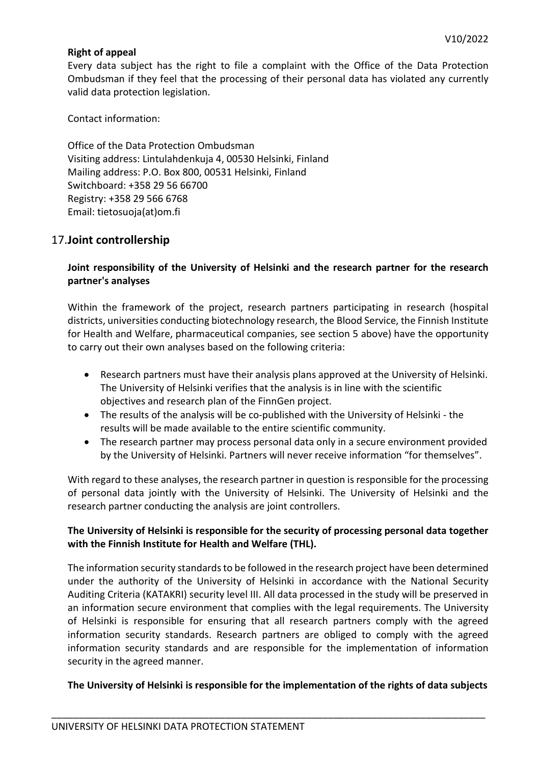#### **Right of appeal**

Every data subject has the right to file a complaint with the Office of the Data Protection Ombudsman if they feel that the processing of their personal data has violated any currently valid data protection legislation.

Contact information:

Office of the Data Protection Ombudsman Visiting address: Lintulahdenkuja 4, 00530 Helsinki, Finland Mailing address: P.O. Box 800, 00531 Helsinki, Finland Switchboard: +358 29 56 66700 Registry: +358 29 566 6768 Email: tietosuoja(at)om.fi

## 17.**Joint controllership**

#### **Joint responsibility of the University of Helsinki and the research partner for the research partner's analyses**

Within the framework of the project, research partners participating in research (hospital districts, universities conducting biotechnology research, the Blood Service, the Finnish Institute for Health and Welfare, pharmaceutical companies, see section 5 above) have the opportunity to carry out their own analyses based on the following criteria:

- Research partners must have their analysis plans approved at the University of Helsinki. The University of Helsinki verifies that the analysis is in line with the scientific objectives and research plan of the FinnGen project.
- The results of the analysis will be co-published with the University of Helsinki the results will be made available to the entire scientific community.
- The research partner may process personal data only in a secure environment provided by the University of Helsinki. Partners will never receive information "for themselves".

With regard to these analyses, the research partner in question is responsible for the processing of personal data jointly with the University of Helsinki. The University of Helsinki and the research partner conducting the analysis are joint controllers.

#### **The University of Helsinki is responsible for the security of processing personal data together with the Finnish Institute for Health and Welfare (THL).**

The information security standards to be followed in the research project have been determined under the authority of the University of Helsinki in accordance with the National Security Auditing Criteria (KATAKRI) security level III. All data processed in the study will be preserved in an information secure environment that complies with the legal requirements. The University of Helsinki is responsible for ensuring that all research partners comply with the agreed information security standards. Research partners are obliged to comply with the agreed information security standards and are responsible for the implementation of information security in the agreed manner.

#### **The University of Helsinki is responsible for the implementation of the rights of data subjects**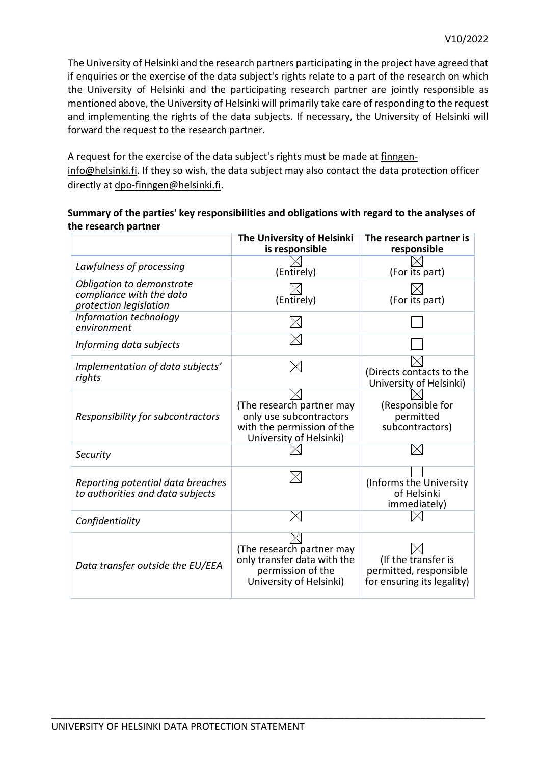The University of Helsinki and the research partners participating in the project have agreed that if enquiries or the exercise of the data subject's rights relate to a part of the research on which the University of Helsinki and the participating research partner are jointly responsible as mentioned above, the University of Helsinki will primarily take care of responding to the request and implementing the rights of the data subjects. If necessary, the University of Helsinki will forward the request to the research partner.

A request for the exercise of the data subject's rights must be made at [finngen](mailto:finngen-info@helsinki.fi)[info@helsinki.fi.](mailto:finngen-info@helsinki.fi) If they so wish, the data subject may also contact the data protection officer directly at dpo[-finngen@](mailto:grp-finngen-dpo@helsinki.fi)helsinki.fi.

#### **Summary of the parties' key responsibilities and obligations with regard to the analyses of the research partner**

|                                                                                 | The University of Helsinki<br>is responsible                                                                  | The research partner is<br>responsible                                      |
|---------------------------------------------------------------------------------|---------------------------------------------------------------------------------------------------------------|-----------------------------------------------------------------------------|
| Lawfulness of processing                                                        | (Entirely)                                                                                                    | (For its part)                                                              |
| Obligation to demonstrate<br>compliance with the data<br>protection legislation | (Entirely)                                                                                                    | (For its part)                                                              |
| Information technology<br>environment                                           |                                                                                                               |                                                                             |
| Informing data subjects                                                         |                                                                                                               |                                                                             |
| Implementation of data subjects'<br>rights                                      |                                                                                                               | (Directs contacts to the<br>University of Helsinki)                         |
| Responsibility for subcontractors                                               | (The research partner may<br>only use subcontractors<br>with the permission of the<br>University of Helsinki) | (Responsible for<br>permitted<br>subcontractors)                            |
| Security                                                                        |                                                                                                               |                                                                             |
| Reporting potential data breaches<br>to authorities and data subjects           |                                                                                                               | (Informs the University<br>of Helsinki<br>immediately)                      |
| Confidentiality                                                                 |                                                                                                               |                                                                             |
| Data transfer outside the EU/EEA                                                | (The research partner may<br>only transfer data with the<br>permission of the<br>University of Helsinki)      | (If the transfer is<br>permitted, responsible<br>for ensuring its legality) |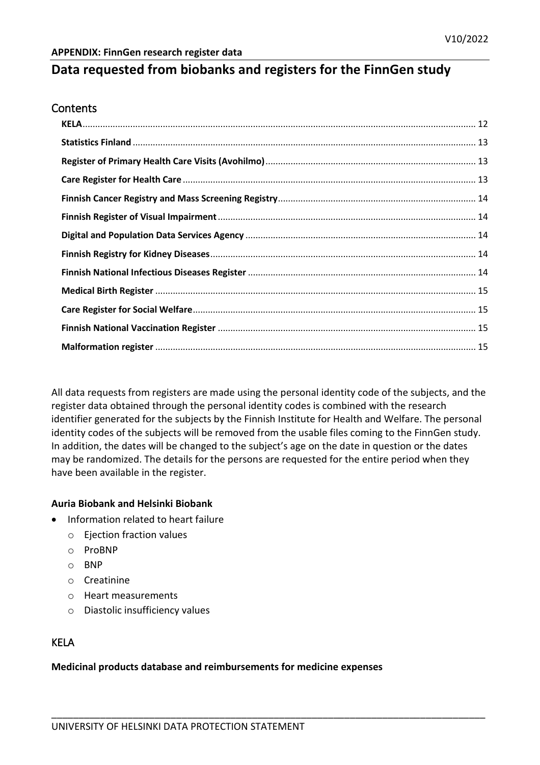# **Data requested from biobanks and registers for the FinnGen study**

#### **Contents**

All data requests from registers are made using the personal identity code of the subjects, and the register data obtained through the personal identity codes is combined with the research identifier generated for the subjects by the Finnish Institute for Health and Welfare. The personal identity codes of the subjects will be removed from the usable files coming to the FinnGen study. In addition, the dates will be changed to the subject's age on the date in question or the dates may be randomized. The details for the persons are requested for the entire period when they have been available in the register.

\_\_\_\_\_\_\_\_\_\_\_\_\_\_\_\_\_\_\_\_\_\_\_\_\_\_\_\_\_\_\_\_\_\_\_\_\_\_\_\_\_\_\_\_\_\_\_\_\_\_\_\_\_\_\_\_\_\_\_\_\_\_\_\_\_\_\_\_\_\_\_\_\_\_\_\_\_\_\_\_

#### **Auria Biobank and Helsinki Biobank**

- Information related to heart failure
	- o Ejection fraction values
	- o ProBNP
	- o BNP
	- o Creatinine
	- o Heart measurements
	- o Diastolic insufficiency values

## <span id="page-11-0"></span>KELA

#### **Medicinal products database and reimbursements for medicine expenses**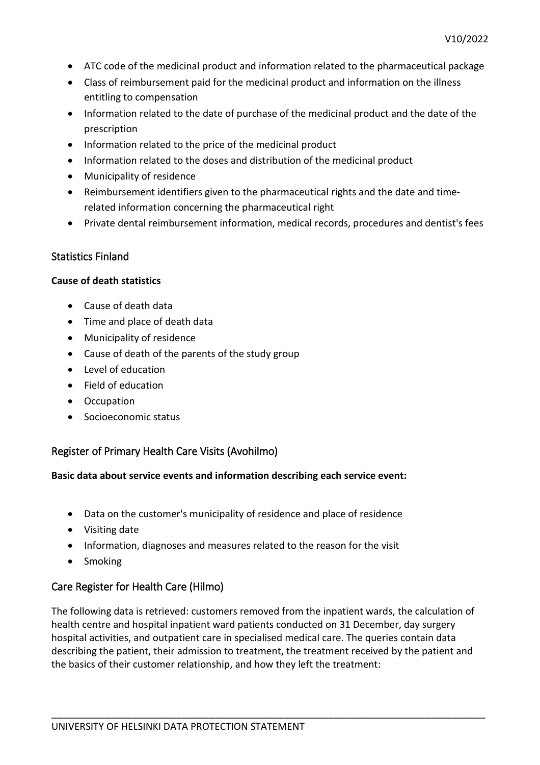- ATC code of the medicinal product and information related to the pharmaceutical package
- Class of reimbursement paid for the medicinal product and information on the illness entitling to compensation
- Information related to the date of purchase of the medicinal product and the date of the prescription
- Information related to the price of the medicinal product
- Information related to the doses and distribution of the medicinal product
- Municipality of residence
- Reimbursement identifiers given to the pharmaceutical rights and the date and timerelated information concerning the pharmaceutical right
- Private dental reimbursement information, medical records, procedures and dentist's fees

#### <span id="page-12-0"></span>Statistics Finland

#### **Cause of death statistics**

- Cause of death data
- Time and place of death data
- Municipality of residence
- Cause of death of the parents of the study group
- Level of education
- Field of education
- Occupation
- Socioeconomic status

## <span id="page-12-1"></span>Register of Primary Health Care Visits (Avohilmo)

#### **Basic data about service events and information describing each service event:**

- Data on the customer's municipality of residence and place of residence
- Visiting date
- Information, diagnoses and measures related to the reason for the visit
- Smoking

## <span id="page-12-2"></span>Care Register for Health Care (Hilmo)

The following data is retrieved: customers removed from the inpatient wards, the calculation of health centre and hospital inpatient ward patients conducted on 31 December, day surgery hospital activities, and outpatient care in specialised medical care. The queries contain data describing the patient, their admission to treatment, the treatment received by the patient and the basics of their customer relationship, and how they left the treatment: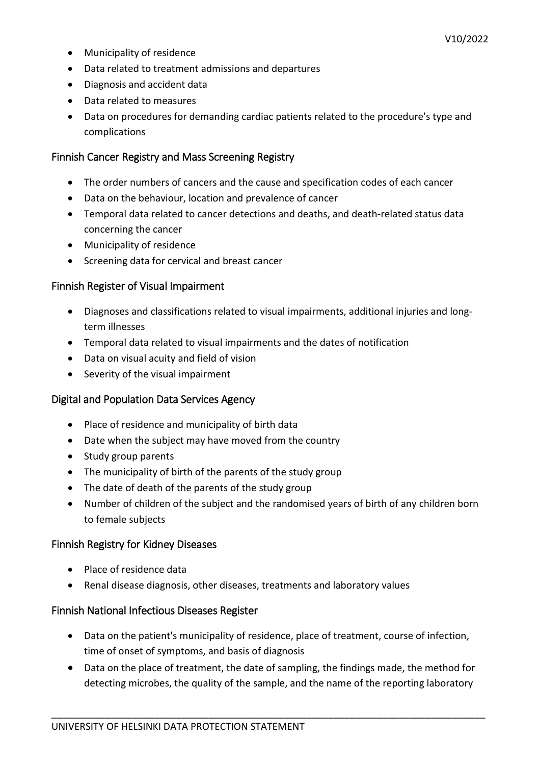- Municipality of residence
- Data related to treatment admissions and departures
- Diagnosis and accident data
- Data related to measures
- Data on procedures for demanding cardiac patients related to the procedure's type and complications

#### <span id="page-13-0"></span>Finnish Cancer Registry and Mass Screening Registry

- The order numbers of cancers and the cause and specification codes of each cancer
- Data on the behaviour, location and prevalence of cancer
- Temporal data related to cancer detections and deaths, and death-related status data concerning the cancer
- Municipality of residence
- Screening data for cervical and breast cancer

#### <span id="page-13-1"></span>Finnish Register of Visual Impairment

- Diagnoses and classifications related to visual impairments, additional injuries and longterm illnesses
- Temporal data related to visual impairments and the dates of notification
- Data on visual acuity and field of vision
- Severity of the visual impairment

#### <span id="page-13-2"></span>Digital and Population Data Services Agency

- Place of residence and municipality of birth data
- Date when the subject may have moved from the country
- Study group parents
- The municipality of birth of the parents of the study group
- The date of death of the parents of the study group
- Number of children of the subject and the randomised years of birth of any children born to female subjects

#### <span id="page-13-3"></span>Finnish Registry for Kidney Diseases

- Place of residence data
- Renal disease diagnosis, other diseases, treatments and laboratory values

#### <span id="page-13-4"></span>Finnish National Infectious Diseases Register

- Data on the patient's municipality of residence, place of treatment, course of infection, time of onset of symptoms, and basis of diagnosis
- Data on the place of treatment, the date of sampling, the findings made, the method for detecting microbes, the quality of the sample, and the name of the reporting laboratory